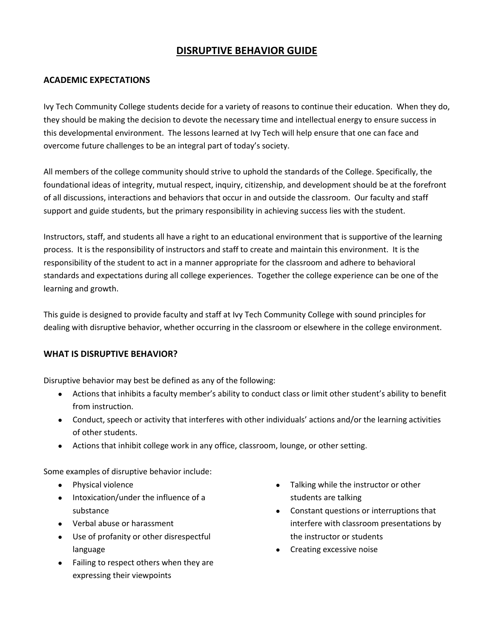# **DISRUPTIVE BEHAVIOR GUIDE**

## **ACADEMIC EXPECTATIONS**

Ivy Tech Community College students decide for a variety of reasons to continue their education. When they do, they should be making the decision to devote the necessary time and intellectual energy to ensure success in this developmental environment. The lessons learned at Ivy Tech will help ensure that one can face and overcome future challenges to be an integral part of today's society.

All members of the college community should strive to uphold the standards of the College. Specifically, the foundational ideas of integrity, mutual respect, inquiry, citizenship, and development should be at the forefront of all discussions, interactions and behaviors that occur in and outside the classroom. Our faculty and staff support and guide students, but the primary responsibility in achieving success lies with the student.

Instructors, staff, and students all have a right to an educational environment that is supportive of the learning process. It is the responsibility of instructors and staff to create and maintain this environment. It is the responsibility of the student to act in a manner appropriate for the classroom and adhere to behavioral standards and expectations during all college experiences. Together the college experience can be one of the learning and growth.

This guide is designed to provide faculty and staff at Ivy Tech Community College with sound principles for dealing with disruptive behavior, whether occurring in the classroom or elsewhere in the college environment.

#### **WHAT IS DISRUPTIVE BEHAVIOR?**

Disruptive behavior may best be defined as any of the following:

- Actions that inhibits a faculty member's ability to conduct class or limit other student's ability to benefit from instruction.
- Conduct, speech or activity that interferes with other individuals' actions and/or the learning activities of other students.
- Actions that inhibit college work in any office, classroom, lounge, or other setting.

Some examples of disruptive behavior include:

- Physical violence
- Intoxication/under the influence of a substance
- Verbal abuse or harassment
- Use of profanity or other disrespectful language
- Failing to respect others when they are expressing their viewpoints
- Talking while the instructor or other students are talking
- Constant questions or interruptions that interfere with classroom presentations by the instructor or students
- Creating excessive noise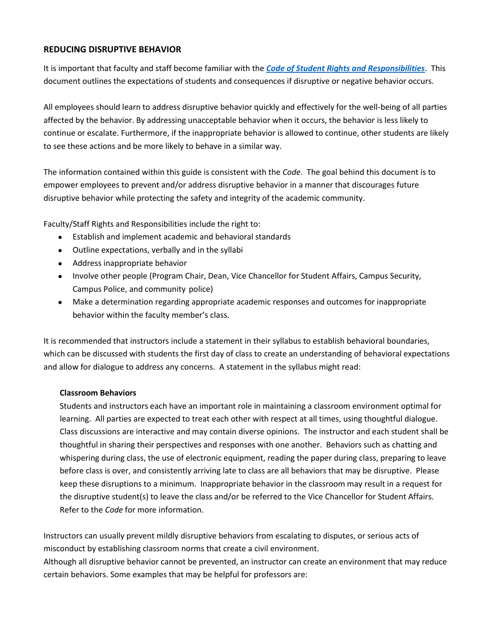## **REDUCING DISRUPTIVE BEHAVIOR**

It is important that faculty and staff become familiar with the *[Code of Student Rights and Responsibilities](https://www.ivytech.edu/studentcode/)*. This document outlines the expectations of students and consequences if disruptive or negative behavior occurs.

All employees should learn to address disruptive behavior quickly and effectively for the well-being of all parties affected by the behavior. By addressing unacceptable behavior when it occurs, the behavior is less likely to continue or escalate. Furthermore, if the inappropriate behavior is allowed to continue, other students are likely to see these actions and be more likely to behave in a similar way.

The information contained within this guide is consistent with the *Code*. The goal behind this document is to empower employees to prevent and/or address disruptive behavior in a manner that discourages future disruptive behavior while protecting the safety and integrity of the academic community.

Faculty/Staff Rights and Responsibilities include the right to:

- Establish and implement academic and behavioral standards
- Outline expectations, verbally and in the syllabi
- Address inappropriate behavior
- Involve other people (Program Chair, Dean, Vice Chancellor for Student Affairs, Campus Security, Campus Police, and community police)
- Make a determination regarding appropriate academic responses and outcomes for inappropriate behavior within the faculty member's class.

It is recommended that instructors include a statement in their syllabus to establish behavioral boundaries, which can be discussed with students the first day of class to create an understanding of behavioral expectations and allow for dialogue to address any concerns. A statement in the syllabus might read:

## **Classroom Behaviors**

Students and instructors each have an important role in maintaining a classroom environment optimal for learning. All parties are expected to treat each other with respect at all times, using thoughtful dialogue. Class discussions are interactive and may contain diverse opinions. The instructor and each student shall be thoughtful in sharing their perspectives and responses with one another. Behaviors such as chatting and whispering during class, the use of electronic equipment, reading the paper during class, preparing to leave before class is over, and consistently arriving late to class are all behaviors that may be disruptive. Please keep these disruptions to a minimum. Inappropriate behavior in the classroom may result in a request for the disruptive student(s) to leave the class and/or be referred to the Vice Chancellor for Student Affairs. Refer to the *Code* for more information.

Instructors can usually prevent mildly disruptive behaviors from escalating to disputes, or serious acts of misconduct by establishing classroom norms that create a civil environment. Although all disruptive behavior cannot be prevented, an instructor can create an environment that may reduce certain behaviors. Some examples that may be helpful for professors are: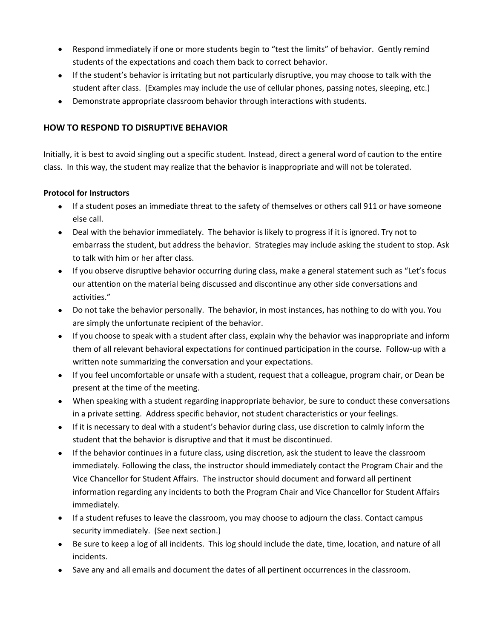- Respond immediately if one or more students begin to "test the limits" of behavior. Gently remind students of the expectations and coach them back to correct behavior.
- If the student's behavior is irritating but not particularly disruptive, you may choose to talk with the student after class. (Examples may include the use of cellular phones, passing notes, sleeping, etc.)
- Demonstrate appropriate classroom behavior through interactions with students.

## **HOW TO RESPOND TO DISRUPTIVE BEHAVIOR**

Initially, it is best to avoid singling out a specific student. Instead, direct a general word of caution to the entire class. In this way, the student may realize that the behavior is inappropriate and will not be tolerated.

## **Protocol for Instructors**

- If a student poses an immediate threat to the safety of themselves or others call 911 or have someone else call.
- Deal with the behavior immediately. The behavior is likely to progress if it is ignored. Try not to embarrass the student, but address the behavior. Strategies may include asking the student to stop. Ask to talk with him or her after class.
- If you observe disruptive behavior occurring during class, make a general statement such as "Let's focus our attention on the material being discussed and discontinue any other side conversations and activities."
- Do not take the behavior personally. The behavior, in most instances, has nothing to do with you. You are simply the unfortunate recipient of the behavior.
- If you choose to speak with a student after class, explain why the behavior was inappropriate and inform them of all relevant behavioral expectations for continued participation in the course. Follow-up with a written note summarizing the conversation and your expectations.
- If you feel uncomfortable or unsafe with a student, request that a colleague, program chair, or Dean be present at the time of the meeting.
- When speaking with a student regarding inappropriate behavior, be sure to conduct these conversations in a private setting. Address specific behavior, not student characteristics or your feelings.
- If it is necessary to deal with a student's behavior during class, use discretion to calmly inform the student that the behavior is disruptive and that it must be discontinued.
- If the behavior continues in a future class, using discretion, ask the student to leave the classroom immediately. Following the class, the instructor should immediately contact the Program Chair and the Vice Chancellor for Student Affairs. The instructor should document and forward all pertinent information regarding any incidents to both the Program Chair and Vice Chancellor for Student Affairs immediately.
- If a student refuses to leave the classroom, you may choose to adjourn the class. Contact campus security immediately. (See next section.)
- Be sure to keep a log of all incidents. This log should include the date, time, location, and nature of all incidents.
- Save any and all emails and document the dates of all pertinent occurrences in the classroom.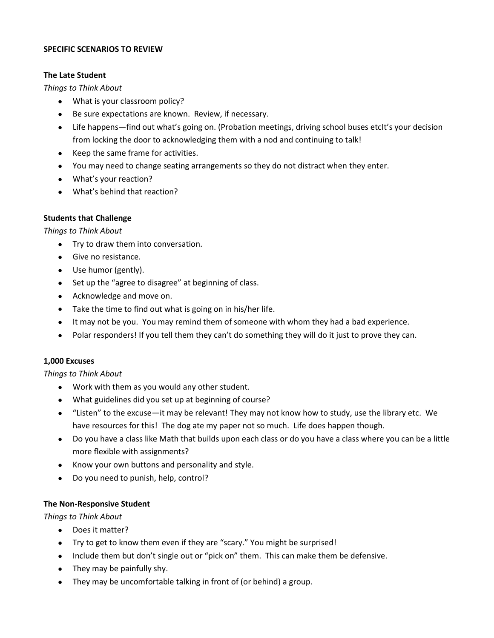#### **SPECIFIC SCENARIOS TO REVIEW**

#### **The Late Student**

*Things to Think About*

- What is your classroom policy?
- Be sure expectations are known. Review, if necessary.
- Life happens—find out what's going on. (Probation meetings, driving school buses etcIt's your decision from locking the door to acknowledging them with a nod and continuing to talk!
- Keep the same frame for activities.
- You may need to change seating arrangements so they do not distract when they enter.
- What's your reaction?
- What's behind that reaction?

#### **Students that Challenge**

*Things to Think About*

- Try to draw them into conversation.
- Give no resistance.
- Use humor (gently).
- Set up the "agree to disagree" at beginning of class.
- Acknowledge and move on.
- Take the time to find out what is going on in his/her life.
- It may not be you. You may remind them of someone with whom they had a bad experience.
- Polar responders! If you tell them they can't do something they will do it just to prove they can.

#### **1,000 Excuses**

*Things to Think About*

- Work with them as you would any other student.
- What guidelines did you set up at beginning of course?
- "Listen" to the excuse—it may be relevant! They may not know how to study, use the library etc. We have resources for this! The dog ate my paper not so much. Life does happen though.
- Do you have a class like Math that builds upon each class or do you have a class where you can be a little more flexible with assignments?
- Know your own buttons and personality and style.
- Do you need to punish, help, control?

#### **The Non-Responsive Student**

*Things to Think About*

- Does it matter?
- Try to get to know them even if they are "scary." You might be surprised!
- Include them but don't single out or "pick on" them. This can make them be defensive.
- They may be painfully shy.
- They may be uncomfortable talking in front of (or behind) a group.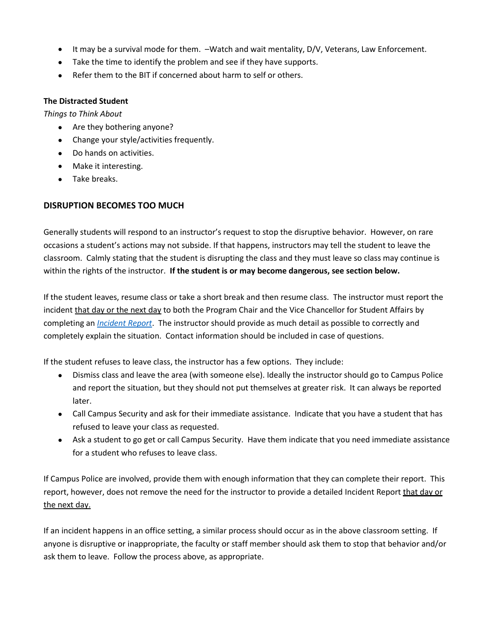- It may be a survival mode for them. –Watch and wait mentality, D/V, Veterans, Law Enforcement.
- Take the time to identify the problem and see if they have supports.
- Refer them to the BIT if concerned about harm to self or others.

#### **The Distracted Student**

*Things to Think About*

- Are they bothering anyone?
- Change your style/activities frequently.
- Do hands on activities.
- Make it interesting.
- Take breaks.

## **DISRUPTION BECOMES TOO MUCH**

Generally students will respond to an instructor's request to stop the disruptive behavior. However, on rare occasions a student's actions may not subside. If that happens, instructors may tell the student to leave the classroom. Calmly stating that the student is disrupting the class and they must leave so class may continue is within the rights of the instructor. **If the student is or may become dangerous, see section below.**

If the student leaves, resume class or take a short break and then resume class. The instructor must report the incident that day or the next day to both the Program Chair and the Vice Chancellor for Student Affairs by completing an *[Incident Report](https://www.ivytech.edu/risk/17097.html)*. The instructor should provide as much detail as possible to correctly and completely explain the situation. Contact information should be included in case of questions.

If the student refuses to leave class, the instructor has a few options. They include:

- Dismiss class and leave the area (with someone else). Ideally the instructor should go to Campus Police and report the situation, but they should not put themselves at greater risk. It can always be reported later.
- Call Campus Security and ask for their immediate assistance. Indicate that you have a student that has refused to leave your class as requested.
- Ask a student to go get or call Campus Security. Have them indicate that you need immediate assistance for a student who refuses to leave class.

If Campus Police are involved, provide them with enough information that they can complete their report. This report, however, does not remove the need for the instructor to provide a detailed Incident Report that day or the next day.

If an incident happens in an office setting, a similar process should occur as in the above classroom setting. If anyone is disruptive or inappropriate, the faculty or staff member should ask them to stop that behavior and/or ask them to leave. Follow the process above, as appropriate.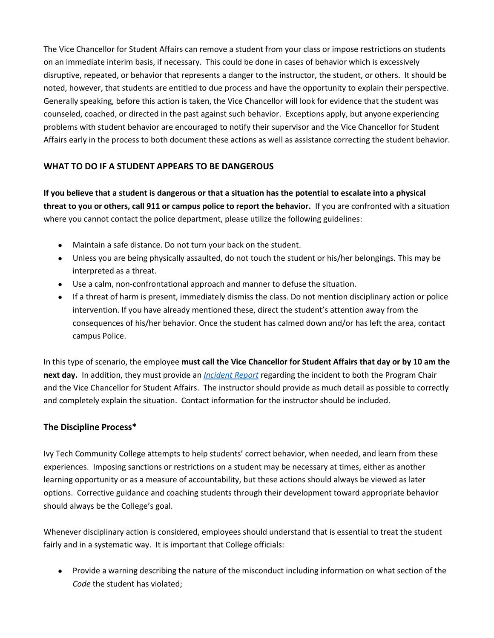The Vice Chancellor for Student Affairs can remove a student from your class or impose restrictions on students on an immediate interim basis, if necessary. This could be done in cases of behavior which is excessively disruptive, repeated, or behavior that represents a danger to the instructor, the student, or others. It should be noted, however, that students are entitled to due process and have the opportunity to explain their perspective. Generally speaking, before this action is taken, the Vice Chancellor will look for evidence that the student was counseled, coached, or directed in the past against such behavior. Exceptions apply, but anyone experiencing problems with student behavior are encouraged to notify their supervisor and the Vice Chancellor for Student Affairs early in the process to both document these actions as well as assistance correcting the student behavior.

## **WHAT TO DO IF A STUDENT APPEARS TO BE DANGEROUS**

**If you believe that a student is dangerous or that a situation has the potential to escalate into a physical threat to you or others, call 911 or campus police to report the behavior.** If you are confronted with a situation where you cannot contact the police department, please utilize the following guidelines:

- Maintain a safe distance. Do not turn your back on the student.
- Unless you are being physically assaulted, do not touch the student or his/her belongings. This may be interpreted as a threat.
- Use a calm, non-confrontational approach and manner to defuse the situation.
- If a threat of harm is present, immediately dismiss the class. Do not mention disciplinary action or police intervention. If you have already mentioned these, direct the student's attention away from the consequences of his/her behavior. Once the student has calmed down and/or has left the area, contact campus Police.

In this type of scenario, the employee **must call the Vice Chancellor for Student Affairs that day or by 10 am the next day.** In addition, they must provide an *[Incident Report](https://www.ivytech.edu/risk/17097.html)* regarding the incident to both the Program Chair and the Vice Chancellor for Student Affairs. The instructor should provide as much detail as possible to correctly and completely explain the situation. Contact information for the instructor should be included.

## **The Discipline Process\***

Ivy Tech Community College attempts to help students' correct behavior, when needed, and learn from these experiences. Imposing sanctions or restrictions on a student may be necessary at times, either as another learning opportunity or as a measure of accountability, but these actions should always be viewed as later options. Corrective guidance and coaching students through their development toward appropriate behavior should always be the College's goal.

Whenever disciplinary action is considered, employees should understand that is essential to treat the student fairly and in a systematic way. It is important that College officials:

 Provide a warning describing the nature of the misconduct including information on what section of the *Code* the student has violated;